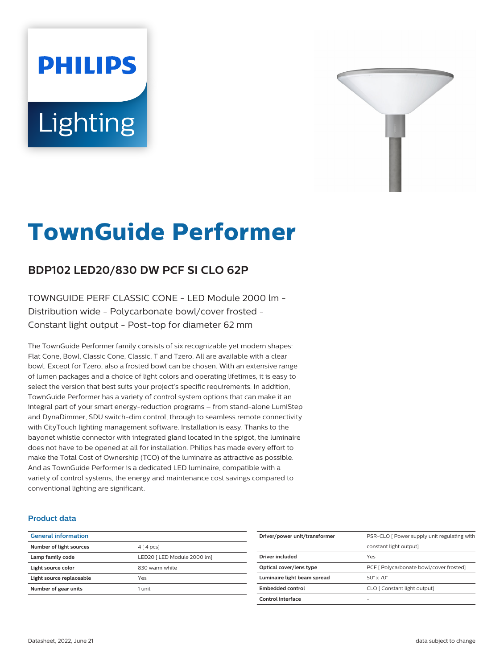# **PHILIPS** Lighting



# **TownGuide Performer**

# **BDP102 LED20/830 DW PCF SI CLO 62P**

TOWNGUIDE PERF CLASSIC CONE - LED Module 2000 lm - Distribution wide - Polycarbonate bowl/cover frosted - Constant light output - Post-top for diameter 62 mm

The TownGuide Performer family consists of six recognizable yet modern shapes: Flat Cone, Bowl, Classic Cone, Classic, T and Tzero. All are available with a clear bowl. Except for Tzero, also a frosted bowl can be chosen. With an extensive range of lumen packages and a choice of light colors and operating lifetimes, it is easy to select the version that best suits your project's specific requirements. In addition, TownGuide Performer has a variety of control system options that can make it an integral part of your smart energy-reduction programs – from stand-alone LumiStep and DynaDimmer, SDU switch-dim control, through to seamless remote connectivity with CityTouch lighting management software. Installation is easy. Thanks to the bayonet whistle connector with integrated gland located in the spigot, the luminaire does not have to be opened at all for installation. Philips has made every effort to make the Total Cost of Ownership (TCO) of the luminaire as attractive as possible. And as TownGuide Performer is a dedicated LED luminaire, compatible with a variety of control systems, the energy and maintenance cost savings compared to conventional lighting are significant.

#### **Product data**

| <b>General information</b> |                             |
|----------------------------|-----------------------------|
| Number of light sources    | $4 \mid 4 \mid pcs$         |
| Lamp family code           | LED20   LED Module 2000 lm] |
| Light source color         | 830 warm white              |
| Light source replaceable   | Yes                         |
| Number of gear units       | 1 unit                      |
|                            |                             |

| Driver/power unit/transformer | PSR-CLO [ Power supply unit regulating with |
|-------------------------------|---------------------------------------------|
|                               | constant light output]                      |
| Driver included               | Yes                                         |
| Optical cover/lens type       | PCF [ Polycarbonate bowl/cover frosted]     |
| Luminaire light beam spread   | $50^\circ \times 70^\circ$                  |
| <b>Embedded control</b>       | CLO [ Constant light output]                |
| Control interface             |                                             |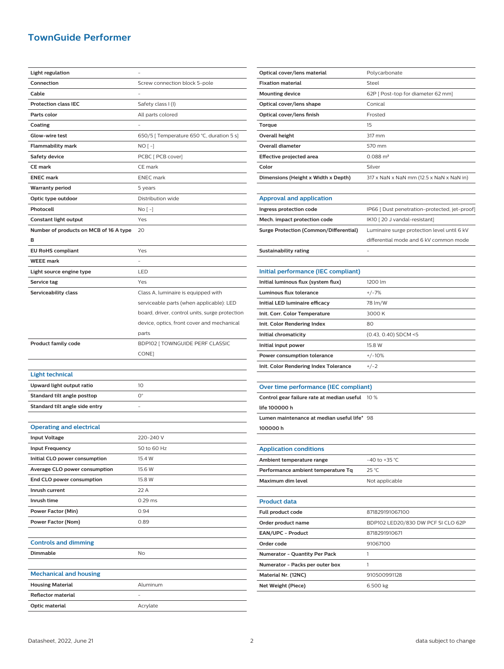## **TownGuide Performer**

| <b>Light regulation</b>                |                                                |
|----------------------------------------|------------------------------------------------|
| Connection                             | Screw connection block 5-pole                  |
| Cable                                  |                                                |
| <b>Protection class IEC</b>            | Safety class I (I)                             |
| Parts color                            | All parts colored                              |
| Coating                                |                                                |
| Glow-wire test                         | 650/5 [ Temperature 650 °C, duration 5 s]      |
| <b>Flammability mark</b>               | NO [ -]                                        |
| Safety device                          | PCBC [ PCB cover]                              |
| <b>CE mark</b>                         | CE mark                                        |
| <b>ENEC mark</b>                       | <b>ENEC</b> mark                               |
| <b>Warranty period</b>                 | 5 years                                        |
| Optic type outdoor                     | Distribution wide                              |
| Photocell                              | No [ -]                                        |
| Constant light output                  | Yes                                            |
| Number of products on MCB of 16 A type | 20                                             |
| в                                      |                                                |
| <b>EU RoHS compliant</b>               | Yes                                            |
| <b>WEEE mark</b>                       |                                                |
|                                        |                                                |
| Light source engine type               | LED                                            |
| Service tag                            | Yes                                            |
| Serviceability class                   | Class A, luminaire is equipped with            |
|                                        | serviceable parts (when applicable): LED       |
|                                        | board, driver, control units, surge protection |
|                                        | device, optics, front cover and mechanical     |
|                                        | parts                                          |
|                                        |                                                |
| <b>Product family code</b>             | BDP102   TOWNGUIDE PERF CLASSIC                |
|                                        | CONE]                                          |
|                                        |                                                |
| <b>Light technical</b>                 |                                                |
| Upward light output ratio              | 10                                             |
| Standard tilt angle posttop            | О°                                             |
| Standard tilt angle side entry         |                                                |
|                                        |                                                |
| <b>Operating and electrical</b>        |                                                |
| <b>Input Voltage</b>                   | 220-240 V                                      |
| <b>Input Frequency</b>                 | 50 to 60 Hz                                    |
| Initial CLO power consumption          | 15.4 W                                         |
| Average CLO power consumption          | 15.6 W                                         |
| End CLO power consumption              | 15.8 W                                         |
| Inrush current                         | 22 A                                           |
| Inrush time                            | 0.29 ms                                        |
| Power Factor (Min)                     | 0.94                                           |
| Power Factor (Nom)                     | 0.89                                           |
|                                        |                                                |
| <b>Controls and dimming</b>            |                                                |
| Dimmable                               | No                                             |
|                                        |                                                |
| <b>Mechanical and housing</b>          |                                                |
| <b>Housing Material</b>                | Aluminum                                       |
| Reflector material                     |                                                |

| Optical cover/lens material                   | Polycarbonate                                 |
|-----------------------------------------------|-----------------------------------------------|
| <b>Fixation material</b>                      | Steel                                         |
| <b>Mounting device</b>                        | 62P [ Post-top for diameter 62 mm]            |
| Optical cover/lens shape                      | Conical                                       |
| Optical cover/lens finish                     | Frosted                                       |
| Torque                                        | 15                                            |
| <b>Overall height</b>                         | 317 mm                                        |
| <b>Overall diameter</b>                       | 570 mm                                        |
| Effective projected area                      | $0.088$ m <sup>2</sup>                        |
| Color                                         | Silver                                        |
| Dimensions (Height x Width x Depth)           | 317 x NaN x NaN mm (12.5 x NaN x NaN in)      |
|                                               |                                               |
| <b>Approval and application</b>               |                                               |
| Ingress protection code                       | IP66 [ Dust penetration-protected, jet-proof] |
| Mech. impact protection code                  | IK10 [20 J vandal-resistant]                  |
| <b>Surge Protection (Common/Differential)</b> | Luminaire surge protection level until 6 kV   |
|                                               | differential mode and 6 kV common mode        |
| Sustainability rating                         |                                               |
|                                               |                                               |
| Initial performance (IEC compliant)           |                                               |
| Initial luminous flux (system flux)           | 1200 lm                                       |
| Luminous flux tolerance                       | $+/-7%$                                       |
| Initial LED luminaire efficacy                | 78 lm/W                                       |
| Init. Corr. Color Temperature                 | 3000 K                                        |
| Init. Color Rendering Index                   | 80                                            |
| Initial chromaticity                          | (0.43, 0.40) SDCM <5                          |
| Initial input power                           | 15.8 W                                        |
| Power consumption tolerance                   | $+/-10%$                                      |
| Init. Color Rendering Index Tolerance         | $+/-2$                                        |
|                                               |                                               |
| Over time performance (IEC compliant)         |                                               |
| Control gear failure rate at median useful    | 10 %                                          |
| life 100000 h                                 |                                               |
| Lumen maintenance at median useful life* 98   |                                               |
| 100000h                                       |                                               |
|                                               |                                               |
| <b>Application conditions</b>                 |                                               |
| Ambient temperature range                     | -40 to +35 °C                                 |
| Performance ambient temperature Tq            | 25 °C                                         |
| Maximum dim level                             | Not applicable                                |
|                                               |                                               |
| <b>Product data</b>                           |                                               |
| Full product code                             | 871829191067100                               |
| Order product name                            | BDP102 LED20/830 DW PCF SI CLO 62P            |
| EAN/UPC - Product                             | 8718291910671                                 |
| Order code                                    | 91067100                                      |
| Numerator - Quantity Per Pack                 | 1                                             |
| Numerator - Packs per outer box               | 1                                             |

**Material Nr. (12NC)** 910500991128 **Net Weight (Piece)** 6.500 kg